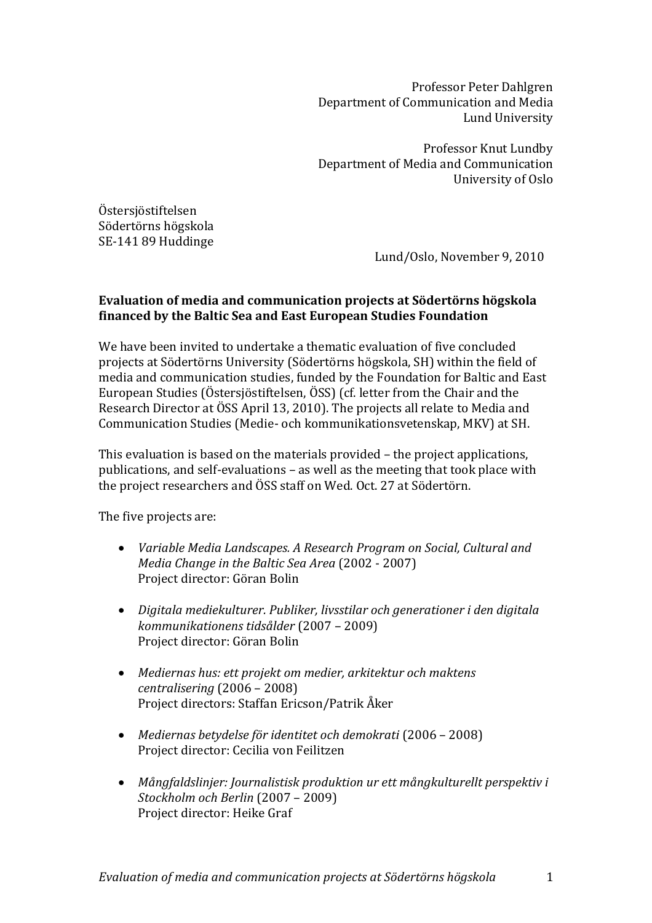Professor Peter Dahlgren Department of Communication and Media Lund University

Professor Knut Lundby Department of Media and Communication University of Oslo

Östersjöstiftelsen Södertörns högskola SE-141 89 Huddinge

Lund/Oslo, November 9, 2010

# **Evaluation of media and communication projects at Södertörns högskola financed by the Baltic Sea and East European Studies Foundation**

We have been invited to undertake a thematic evaluation of five concluded projects at Södertörns University (Södertörns högskola, SH) within the field of media and communication studies, funded by the Foundation for Baltic and East European Studies (Östersjöstiftelsen, ÖSS) (cf. letter from the Chair and the Research Director at ÖSS April 13, 2010). The projects all relate to Media and Communication Studies (Medie- och kommunikationsvetenskap, MKV) at SH.

This evaluation is based on the materials provided – the project applications, publications, and self-evaluations – as well as the meeting that took place with the project researchers and ÖSS staff on Wed. Oct. 27 at Södertörn.

The five projects are:

- *Variable Media Landscapes. A Research Program on Social, Cultural and Media Change in the Baltic Sea Area* (2002 - 2007) Project director: Göran Bolin
- *Digitala mediekulturer. Publiker, livsstilar och generationer i den digitala kommunikationens tidsålder* (2007 – 2009) Project director: Göran Bolin
- *Mediernas hus: ett projekt om medier, arkitektur och maktens centralisering* (2006 – 2008) Project directors: Staffan Ericson/Patrik Åker
- *Mediernas betydelse för identitet och demokrati* (2006 2008) Project director: Cecilia von Feilitzen
- *Mångfaldslinjer: Journalistisk produktion ur ett mångkulturellt perspektiv i Stockholm och Berlin* (2007 – 2009) Project director: Heike Graf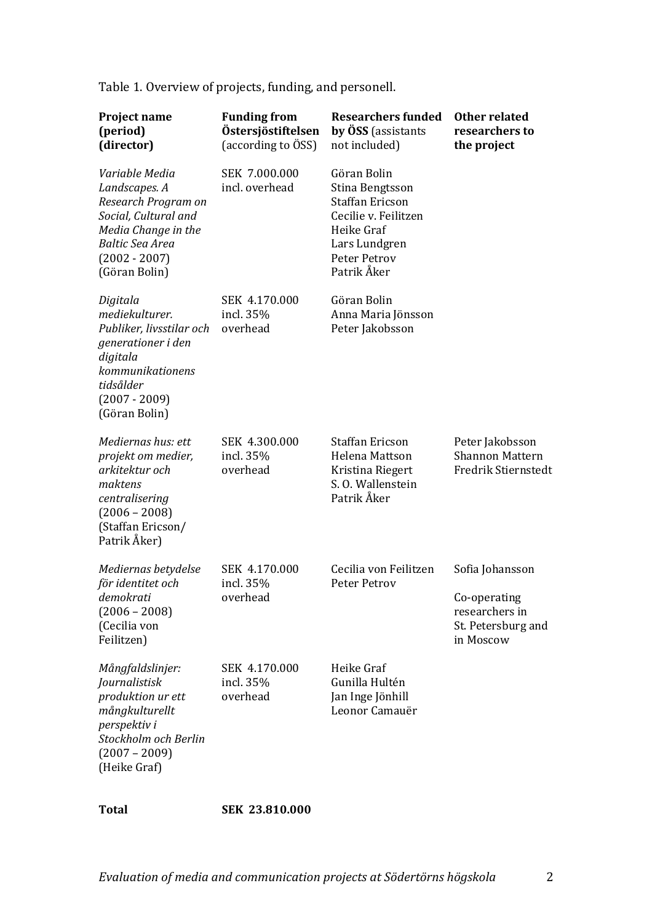Table 1. Overview of projects, funding, and personell.

| Project name<br>(period)<br>(director)                                                                                                                              | <b>Funding from</b><br>Östersjöstiftelsen<br>(according to ÖSS) | <b>Researchers funded</b><br>by ÖSS (assistants<br>not included)                                                                               | Other related<br>researchers to<br>the project                                       |  |  |
|---------------------------------------------------------------------------------------------------------------------------------------------------------------------|-----------------------------------------------------------------|------------------------------------------------------------------------------------------------------------------------------------------------|--------------------------------------------------------------------------------------|--|--|
| Variable Media<br>Landscapes. A<br>Research Program on<br>Social, Cultural and<br>Media Change in the<br><b>Baltic Sea Area</b><br>$(2002 - 2007)$<br>(Göran Bolin) | SEK 7.000.000<br>incl. overhead                                 | Göran Bolin<br>Stina Bengtsson<br><b>Staffan Ericson</b><br>Cecilie v. Feilitzen<br>Heike Graf<br>Lars Lundgren<br>Peter Petrov<br>Patrik Åker |                                                                                      |  |  |
| Digitala<br>mediekulturer.<br>Publiker, livsstilar och<br>generationer i den<br>digitala<br>kommunikationens<br>tidsålder<br>$(2007 - 2009)$<br>(Göran Bolin)       | SEK 4.170.000<br>incl. 35%<br>overhead                          | Göran Bolin<br>Anna Maria Jönsson<br>Peter Jakobsson                                                                                           |                                                                                      |  |  |
| Mediernas hus: ett<br>projekt om medier,<br>arkitektur och<br>maktens<br>centralisering<br>$(2006 - 2008)$<br>(Staffan Ericson/<br>Patrik Åker)                     | SEK 4.300.000<br>incl. 35%<br>overhead                          | <b>Staffan Ericson</b><br>Helena Mattson<br>Kristina Riegert<br>S. O. Wallenstein<br>Patrik Åker                                               | Peter Jakobsson<br><b>Shannon Mattern</b><br><b>Fredrik Stiernstedt</b>              |  |  |
| Mediernas betydelse<br>för identitet och<br>demokrati<br>$(2006 - 2008)$<br>(Cecilia von<br>Feilitzen)                                                              | SEK 4.170.000<br>incl. 35%<br>overhead                          | Cecilia von Feilitzen<br>Peter Petrov                                                                                                          | Sofia Johansson<br>Co-operating<br>researchers in<br>St. Petersburg and<br>in Moscow |  |  |
| Mångfaldslinjer:<br>Journalistisk<br>produktion ur ett<br>mångkulturellt<br>perspektiv i<br>Stockholm och Berlin<br>$(2007 - 2009)$<br>(Heike Graf)                 | SEK 4.170.000<br>incl. 35%<br>overhead                          | Heike Graf<br>Gunilla Hultén<br>Jan Inge Jönhill<br>Leonor Camauër                                                                             |                                                                                      |  |  |

**Total SEK 23.810.000**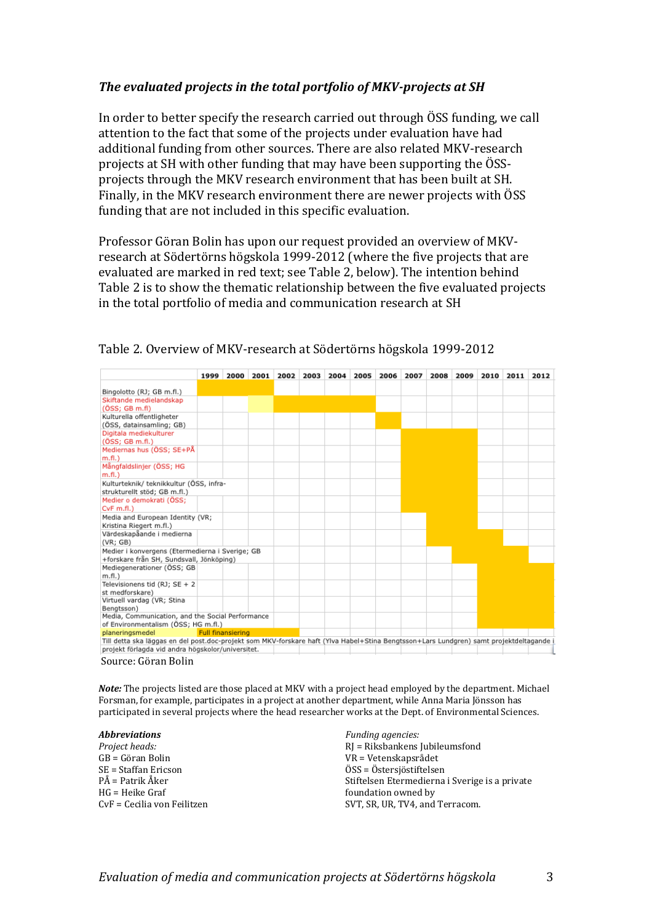### *The evaluated projects in the total portfolio of MKV-projects at SH*

In order to better specify the research carried out through ÖSS funding, we call attention to the fact that some of the projects under evaluation have had additional funding from other sources. There are also related MKV-research projects at SH with other funding that may have been supporting the ÖSSprojects through the MKV research environment that has been built at SH. Finally, in the MKV research environment there are newer projects with ÖSS funding that are not included in this specific evaluation.

Professor Göran Bolin has upon our request provided an overview of MKVresearch at Södertörns högskola 1999-2012 (where the five projects that are evaluated are marked in red text; see Table 2, below). The intention behind Table 2 is to show the thematic relationship between the five evaluated projects in the total portfolio of media and communication research at SH

|                                                                                                                                       | 1999                     | 2000 2001 | 2002 | 2003 | 2004 | 2005 | 2006 | 2007 | 2008 | 2009 | 2010 | 2011 | 2012 |
|---------------------------------------------------------------------------------------------------------------------------------------|--------------------------|-----------|------|------|------|------|------|------|------|------|------|------|------|
| Bingolotto (RJ; GB m.fl.)                                                                                                             |                          |           |      |      |      |      |      |      |      |      |      |      |      |
| Skiftande medielandskap                                                                                                               |                          |           |      |      |      |      |      |      |      |      |      |      |      |
| (ÖSS; GBm.fI)                                                                                                                         |                          |           |      |      |      |      |      |      |      |      |      |      |      |
| Kulturella offentligheter                                                                                                             |                          |           |      |      |      |      |      |      |      |      |      |      |      |
| (ÖSS, datainsamling; GB)                                                                                                              |                          |           |      |      |      |      |      |      |      |      |      |      |      |
| Digitala mediekulturer                                                                                                                |                          |           |      |      |      |      |      |      |      |      |      |      |      |
| (ÖSS; GBm.f.)                                                                                                                         |                          |           |      |      |      |      |      |      |      |      |      |      |      |
| Mediernas hus (ÖSS; SE+PÅ                                                                                                             |                          |           |      |      |      |      |      |      |      |      |      |      |      |
| $m.f.$ )                                                                                                                              |                          |           |      |      |      |      |      |      |      |      |      |      |      |
| Mångfaldslinjer (ÖSS; HG                                                                                                              |                          |           |      |      |      |      |      |      |      |      |      |      |      |
| $m.f.l.$ )                                                                                                                            |                          |           |      |      |      |      |      |      |      |      |      |      |      |
| Kulturteknik/ teknikkultur (ÖSS, infra-                                                                                               |                          |           |      |      |      |      |      |      |      |      |      |      |      |
| strukturellt stöd; GB m.fl.)                                                                                                          |                          |           |      |      |      |      |      |      |      |      |      |      |      |
| Medier o demokrati (ÖSS;                                                                                                              |                          |           |      |      |      |      |      |      |      |      |      |      |      |
| $CVF$ m.fl.)                                                                                                                          |                          |           |      |      |      |      |      |      |      |      |      |      |      |
| Media and European Identity (VR;                                                                                                      |                          |           |      |      |      |      |      |      |      |      |      |      |      |
| Kristina Riegert m.fl.)                                                                                                               |                          |           |      |      |      |      |      |      |      |      |      |      |      |
| Värdeskapåande i medierna                                                                                                             |                          |           |      |      |      |      |      |      |      |      |      |      |      |
| (VR; GB)                                                                                                                              |                          |           |      |      |      |      |      |      |      |      |      |      |      |
| Medier i konvergens (Etermedierna i Sverige; GB                                                                                       |                          |           |      |      |      |      |      |      |      |      |      |      |      |
| +forskare från SH, Sundsvall, Jönköping)                                                                                              |                          |           |      |      |      |      |      |      |      |      |      |      |      |
| Mediegenerationer (ÖSS; GB                                                                                                            |                          |           |      |      |      |      |      |      |      |      |      |      |      |
| $m.f.$ )                                                                                                                              |                          |           |      |      |      |      |      |      |      |      |      |      |      |
| Televisionens tid (RJ; SE + 2                                                                                                         |                          |           |      |      |      |      |      |      |      |      |      |      |      |
| st medforskare)                                                                                                                       |                          |           |      |      |      |      |      |      |      |      |      |      |      |
| Virtuell vardag (VR; Stina                                                                                                            |                          |           |      |      |      |      |      |      |      |      |      |      |      |
| Benatsson)                                                                                                                            |                          |           |      |      |      |      |      |      |      |      |      |      |      |
| Media, Communication, and the Social Performance                                                                                      |                          |           |      |      |      |      |      |      |      |      |      |      |      |
| of Environmentalism (ÖSS; HG m.fl.)                                                                                                   |                          |           |      |      |      |      |      |      |      |      |      |      |      |
| planeringsmedel                                                                                                                       | <b>Full finansiering</b> |           |      |      |      |      |      |      |      |      |      |      |      |
| Till detta ska läggas en del post.doc-projekt som MKV-forskare haft (Ylva Habel+Stina Bengtsson+Lars Lundgren) samt projektdeltagande |                          |           |      |      |      |      |      |      |      |      |      |      |      |
| projekt förlagda vid andra högskolor/universitet.                                                                                     |                          |           |      |      |      |      |      |      |      |      |      |      |      |
| Source: Göran Bolin                                                                                                                   |                          |           |      |      |      |      |      |      |      |      |      |      |      |

#### Table 2. Overview of MKV-research at Södertörns högskola 1999-2012

*Note:* The projects listed are those placed at MKV with a project head employed by the department. Michael Forsman, for example, participates in a project at another department, while Anna Maria Jönsson has participated in several projects where the head researcher works at the Dept. of Environmental Sciences.

#### *Abbreviations*

*Project heads:* GB = Göran Bolin SE = Staffan Ericson PÅ = Patrik Åker HG = Heike Graf CvF = Cecilia von Feilitzen *Funding agencies:* RJ = Riksbankens Jubileumsfond VR = Vetenskapsrådet ÖSS = Östersjöstiftelsen Stiftelsen Etermedierna i Sverige is a private foundation owned by SVT, SR, UR, TV4, and Terracom.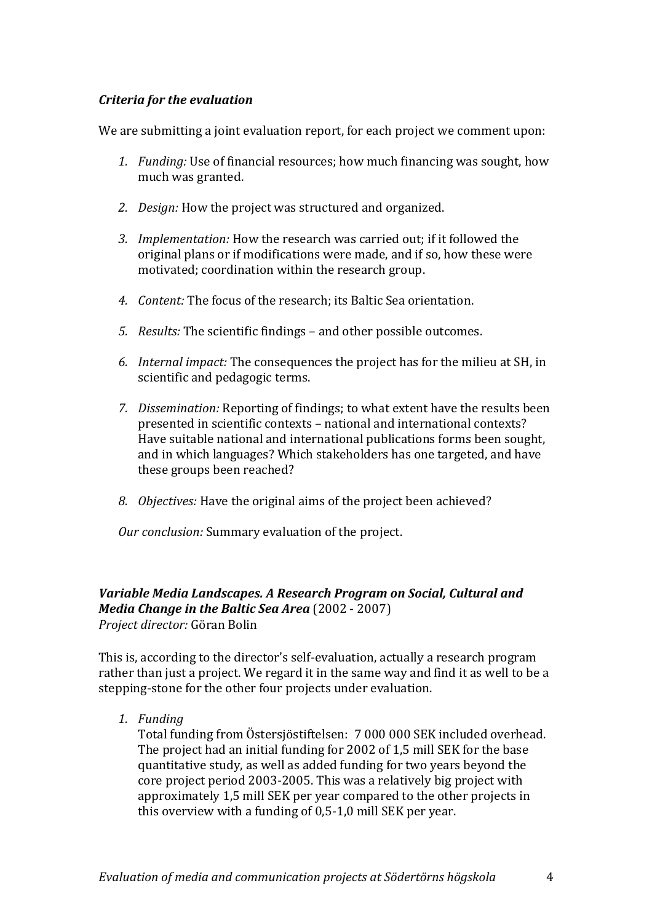# *Criteria for the evaluation*

We are submitting a joint evaluation report, for each project we comment upon:

- *1. Funding:* Use of financial resources; how much financing was sought, how much was granted.
- *2. Design:* How the project was structured and organized.
- *3. Implementation:* How the research was carried out; if it followed the original plans or if modifications were made, and if so, how these were motivated; coordination within the research group.
- *4. Content:* The focus of the research; its Baltic Sea orientation.
- *5. Results:* The scientific findings and other possible outcomes.
- *6. Internal impact:* The consequences the project has for the milieu at SH, in scientific and pedagogic terms.
- *7. Dissemination:* Reporting of findings; to what extent have the results been presented in scientific contexts – national and international contexts? Have suitable national and international publications forms been sought, and in which languages? Which stakeholders has one targeted, and have these groups been reached?
- *8. Objectives:* Have the original aims of the project been achieved?

*Our conclusion:* Summary evaluation of the project.

# *Variable Media Landscapes. A Research Program on Social, Cultural and Media Change in the Baltic Sea Area* (2002 - 2007) *Project director:* Göran Bolin

This is, according to the director's self-evaluation, actually a research program rather than just a project. We regard it in the same way and find it as well to be a stepping-stone for the other four projects under evaluation.

*1. Funding*

Total funding from Östersjöstiftelsen: 7 000 000 SEK included overhead. The project had an initial funding for 2002 of 1,5 mill SEK for the base quantitative study, as well as added funding for two years beyond the core project period 2003-2005. This was a relatively big project with approximately 1,5 mill SEK per year compared to the other projects in this overview with a funding of 0,5-1,0 mill SEK per year.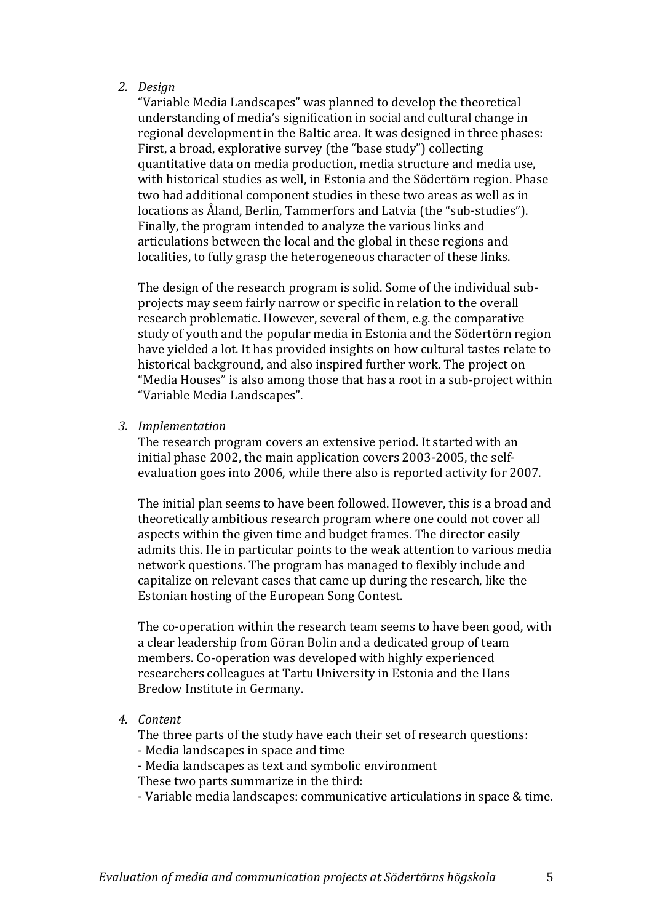#### *2. Design*

"Variable Media Landscapes" was planned to develop the theoretical understanding of media's signification in social and cultural change in regional development in the Baltic area. It was designed in three phases: First, a broad, explorative survey (the "base study") collecting quantitative data on media production, media structure and media use, with historical studies as well, in Estonia and the Södertörn region. Phase two had additional component studies in these two areas as well as in locations as Åland, Berlin, Tammerfors and Latvia (the "sub-studies"). Finally, the program intended to analyze the various links and articulations between the local and the global in these regions and localities, to fully grasp the heterogeneous character of these links.

The design of the research program is solid. Some of the individual subprojects may seem fairly narrow or specific in relation to the overall research problematic. However, several of them, e.g. the comparative study of youth and the popular media in Estonia and the Södertörn region have yielded a lot. It has provided insights on how cultural tastes relate to historical background, and also inspired further work. The project on "Media Houses" is also among those that has a root in a sub-project within "Variable Media Landscapes".

#### *3. Implementation*

The research program covers an extensive period. It started with an initial phase 2002, the main application covers 2003-2005, the selfevaluation goes into 2006, while there also is reported activity for 2007.

The initial plan seems to have been followed. However, this is a broad and theoretically ambitious research program where one could not cover all aspects within the given time and budget frames. The director easily admits this. He in particular points to the weak attention to various media network questions. The program has managed to flexibly include and capitalize on relevant cases that came up during the research, like the Estonian hosting of the European Song Contest.

The co-operation within the research team seems to have been good, with a clear leadership from Göran Bolin and a dedicated group of team members. Co-operation was developed with highly experienced researchers colleagues at Tartu University in Estonia and the Hans Bredow Institute in Germany.

*4. Content*

The three parts of the study have each their set of research questions:

- Media landscapes in space and time
- Media landscapes as text and symbolic environment
- These two parts summarize in the third:

- Variable media landscapes: communicative articulations in space & time.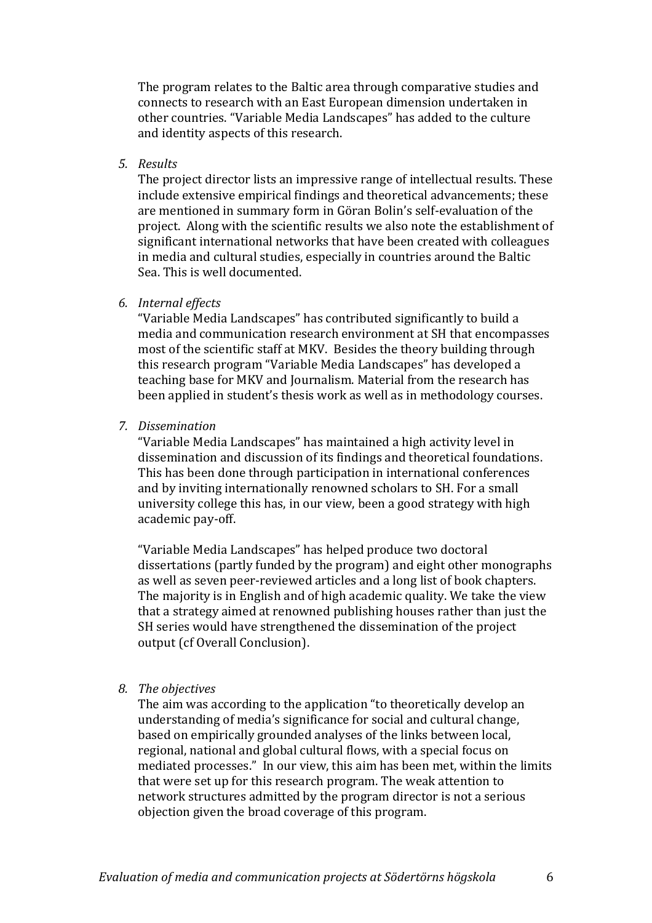The program relates to the Baltic area through comparative studies and connects to research with an East European dimension undertaken in other countries. "Variable Media Landscapes" has added to the culture and identity aspects of this research.

*5. Results*

The project director lists an impressive range of intellectual results. These include extensive empirical findings and theoretical advancements; these are mentioned in summary form in Göran Bolin's self-evaluation of the project. Along with the scientific results we also note the establishment of significant international networks that have been created with colleagues in media and cultural studies, especially in countries around the Baltic Sea. This is well documented.

#### *6. Internal effects*

"Variable Media Landscapes" has contributed significantly to build a media and communication research environment at SH that encompasses most of the scientific staff at MKV. Besides the theory building through this research program "Variable Media Landscapes" has developed a teaching base for MKV and Journalism. Material from the research has been applied in student's thesis work as well as in methodology courses.

*7. Dissemination*

"Variable Media Landscapes" has maintained a high activity level in dissemination and discussion of its findings and theoretical foundations. This has been done through participation in international conferences and by inviting internationally renowned scholars to SH. For a small university college this has, in our view, been a good strategy with high academic pay-off.

"Variable Media Landscapes" has helped produce two doctoral dissertations (partly funded by the program) and eight other monographs as well as seven peer-reviewed articles and a long list of book chapters. The majority is in English and of high academic quality. We take the view that a strategy aimed at renowned publishing houses rather than just the SH series would have strengthened the dissemination of the project output (cf Overall Conclusion).

#### *8. The objectives*

The aim was according to the application "to theoretically develop an understanding of media's significance for social and cultural change, based on empirically grounded analyses of the links between local, regional, national and global cultural flows, with a special focus on mediated processes." In our view, this aim has been met, within the limits that were set up for this research program. The weak attention to network structures admitted by the program director is not a serious objection given the broad coverage of this program.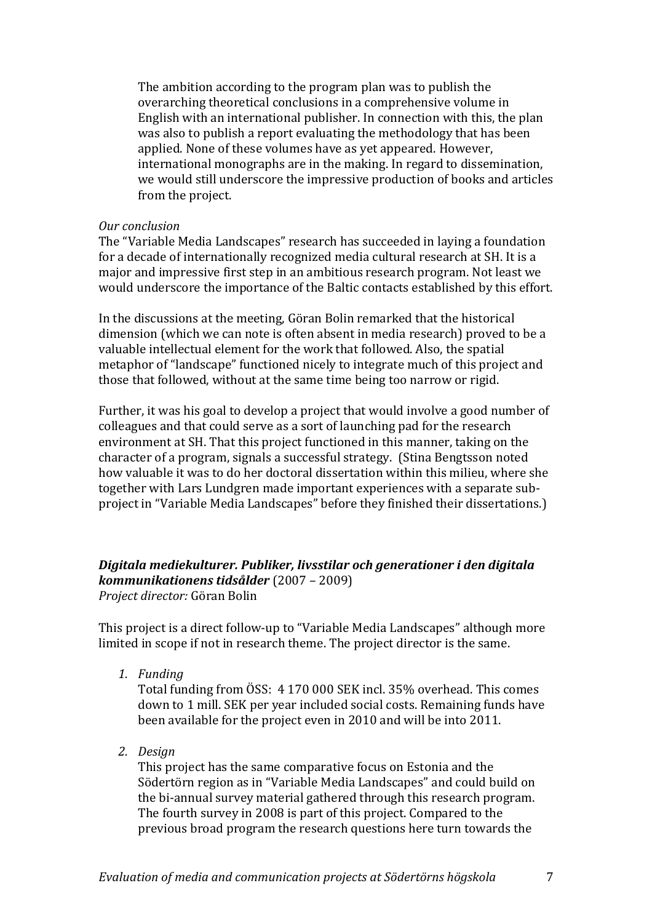The ambition according to the program plan was to publish the overarching theoretical conclusions in a comprehensive volume in English with an international publisher. In connection with this, the plan was also to publish a report evaluating the methodology that has been applied. None of these volumes have as yet appeared. However, international monographs are in the making. In regard to dissemination, we would still underscore the impressive production of books and articles from the project.

#### *Our conclusion*

The "Variable Media Landscapes" research has succeeded in laying a foundation for a decade of internationally recognized media cultural research at SH. It is a major and impressive first step in an ambitious research program. Not least we would underscore the importance of the Baltic contacts established by this effort.

In the discussions at the meeting, Göran Bolin remarked that the historical dimension (which we can note is often absent in media research) proved to be a valuable intellectual element for the work that followed. Also, the spatial metaphor of "landscape" functioned nicely to integrate much of this project and those that followed, without at the same time being too narrow or rigid.

Further, it was his goal to develop a project that would involve a good number of colleagues and that could serve as a sort of launching pad for the research environment at SH. That this project functioned in this manner, taking on the character of a program, signals a successful strategy. (Stina Bengtsson noted how valuable it was to do her doctoral dissertation within this milieu, where she together with Lars Lundgren made important experiences with a separate subproject in "Variable Media Landscapes" before they finished their dissertations.)

# *Digitala mediekulturer. Publiker, livsstilar och generationer i den digitala kommunikationens tidsålder* (2007 – 2009)

*Project director:* Göran Bolin

This project is a direct follow-up to "Variable Media Landscapes" although more limited in scope if not in research theme. The project director is the same.

*1. Funding*

Total funding from ÖSS: 4 170 000 SEK incl. 35% overhead. This comes down to 1 mill. SEK per year included social costs. Remaining funds have been available for the project even in 2010 and will be into 2011.

*2. Design*

This project has the same comparative focus on Estonia and the Södertörn region as in "Variable Media Landscapes" and could build on the bi-annual survey material gathered through this research program. The fourth survey in 2008 is part of this project. Compared to the previous broad program the research questions here turn towards the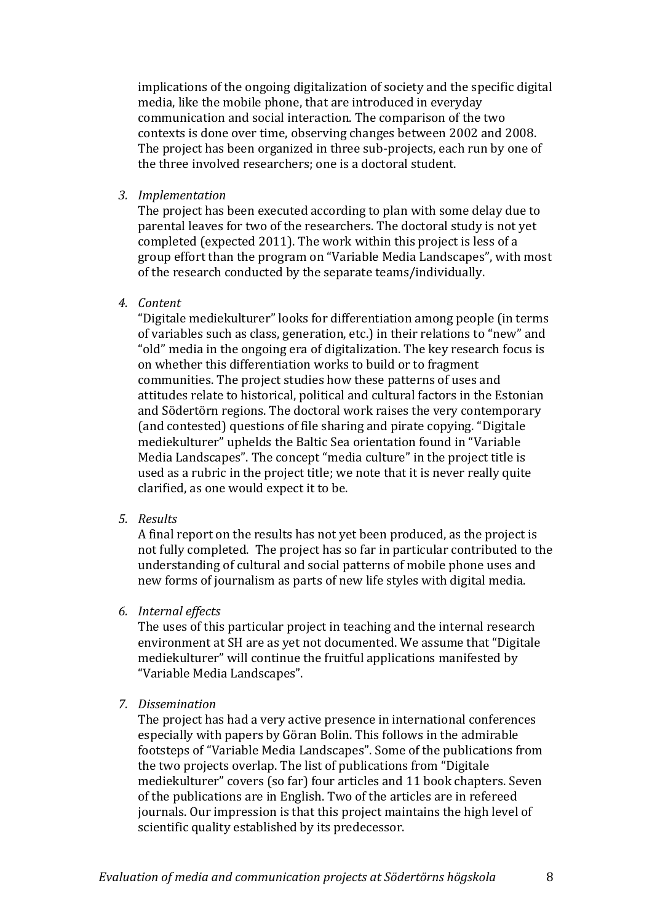implications of the ongoing digitalization of society and the specific digital media, like the mobile phone, that are introduced in everyday communication and social interaction. The comparison of the two contexts is done over time, observing changes between 2002 and 2008. The project has been organized in three sub-projects, each run by one of the three involved researchers; one is a doctoral student.

*3. Implementation*

The project has been executed according to plan with some delay due to parental leaves for two of the researchers. The doctoral study is not yet completed (expected 2011). The work within this project is less of a group effort than the program on "Variable Media Landscapes", with most of the research conducted by the separate teams/individually.

*4. Content*

"Digitale mediekulturer" looks for differentiation among people (in terms of variables such as class, generation, etc.) in their relations to "new" and "old" media in the ongoing era of digitalization. The key research focus is on whether this differentiation works to build or to fragment communities. The project studies how these patterns of uses and attitudes relate to historical, political and cultural factors in the Estonian and Södertörn regions. The doctoral work raises the very contemporary (and contested) questions of file sharing and pirate copying. "Digitale mediekulturer" uphelds the Baltic Sea orientation found in "Variable Media Landscapes". The concept "media culture" in the project title is used as a rubric in the project title; we note that it is never really quite clarified, as one would expect it to be.

*5. Results*

A final report on the results has not yet been produced, as the project is not fully completed. The project has so far in particular contributed to the understanding of cultural and social patterns of mobile phone uses and new forms of journalism as parts of new life styles with digital media.

*6. Internal effects*

The uses of this particular project in teaching and the internal research environment at SH are as yet not documented. We assume that "Digitale mediekulturer" will continue the fruitful applications manifested by "Variable Media Landscapes".

*7. Dissemination*

The project has had a very active presence in international conferences especially with papers by Göran Bolin. This follows in the admirable footsteps of "Variable Media Landscapes". Some of the publications from the two projects overlap. The list of publications from "Digitale mediekulturer" covers (so far) four articles and 11 book chapters. Seven of the publications are in English. Two of the articles are in refereed journals. Our impression is that this project maintains the high level of scientific quality established by its predecessor.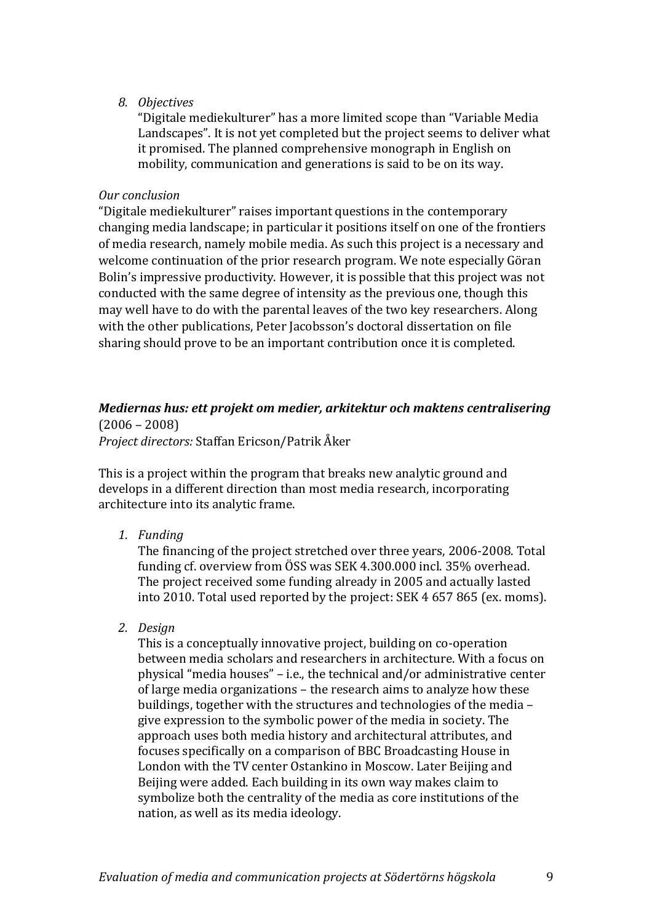#### *8. Objectives*

"Digitale mediekulturer" has a more limited scope than "Variable Media Landscapes". It is not yet completed but the project seems to deliver what it promised. The planned comprehensive monograph in English on mobility, communication and generations is said to be on its way.

#### *Our conclusion*

"Digitale mediekulturer" raises important questions in the contemporary changing media landscape; in particular it positions itself on one of the frontiers of media research, namely mobile media. As such this project is a necessary and welcome continuation of the prior research program. We note especially Göran Bolin's impressive productivity. However, it is possible that this project was not conducted with the same degree of intensity as the previous one, though this may well have to do with the parental leaves of the two key researchers. Along with the other publications, Peter Jacobsson's doctoral dissertation on file sharing should prove to be an important contribution once it is completed.

# *Mediernas hus: ett projekt om medier, arkitektur och maktens centralisering* (2006 – 2008)

*Project directors:* Staffan Ericson/Patrik Åker

This is a project within the program that breaks new analytic ground and develops in a different direction than most media research, incorporating architecture into its analytic frame.

*1. Funding*

The financing of the project stretched over three years, 2006-2008. Total funding cf. overview from ÖSS was SEK 4.300.000 incl. 35% overhead. The project received some funding already in 2005 and actually lasted into 2010. Total used reported by the project: SEK 4 657 865 (ex. moms).

*2. Design*

This is a conceptually innovative project, building on co-operation between media scholars and researchers in architecture. With a focus on physical "media houses" – i.e., the technical and/or administrative center of large media organizations – the research aims to analyze how these buildings, together with the structures and technologies of the media – give expression to the symbolic power of the media in society. The approach uses both media history and architectural attributes, and focuses specifically on a comparison of BBC Broadcasting House in London with the TV center Ostankino in Moscow. Later Beijing and Beijing were added. Each building in its own way makes claim to symbolize both the centrality of the media as core institutions of the nation, as well as its media ideology.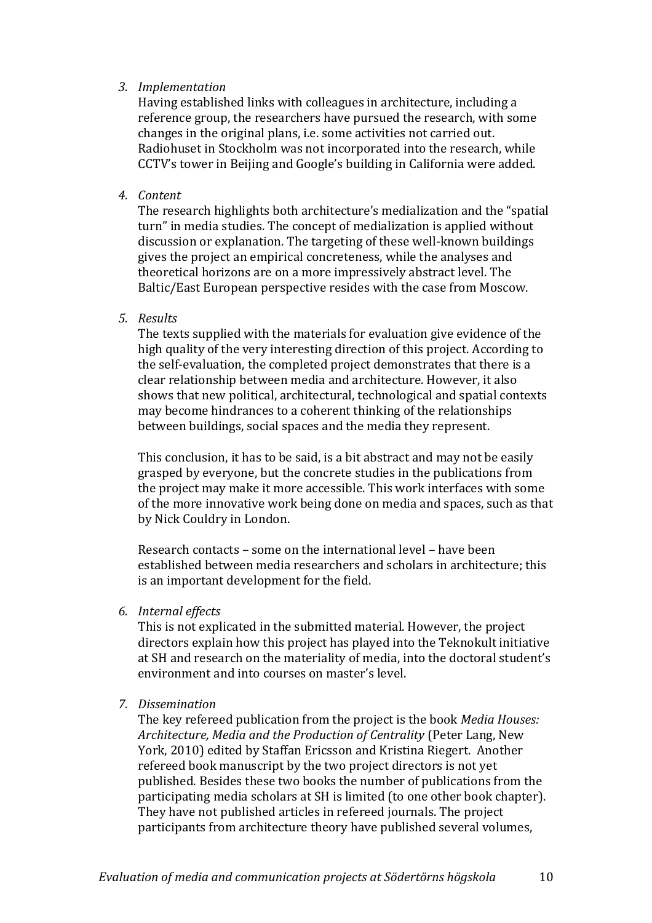#### *3. Implementation*

Having established links with colleagues in architecture, including a reference group, the researchers have pursued the research, with some changes in the original plans, i.e. some activities not carried out. Radiohuset in Stockholm was not incorporated into the research, while CCTV's tower in Beijing and Google's building in California were added.

*4. Content*

The research highlights both architecture's medialization and the "spatial turn" in media studies. The concept of medialization is applied without discussion or explanation. The targeting of these well-known buildings gives the project an empirical concreteness, while the analyses and theoretical horizons are on a more impressively abstract level. The Baltic/East European perspective resides with the case from Moscow.

#### *5. Results*

The texts supplied with the materials for evaluation give evidence of the high quality of the very interesting direction of this project. According to the self-evaluation, the completed project demonstrates that there is a clear relationship between media and architecture. However, it also shows that new political, architectural, technological and spatial contexts may become hindrances to a coherent thinking of the relationships between buildings, social spaces and the media they represent.

This conclusion, it has to be said, is a bit abstract and may not be easily grasped by everyone, but the concrete studies in the publications from the project may make it more accessible. This work interfaces with some of the more innovative work being done on media and spaces, such as that by Nick Couldry in London.

Research contacts – some on the international level – have been established between media researchers and scholars in architecture; this is an important development for the field.

*6. Internal effects*

This is not explicated in the submitted material. However, the project directors explain how this project has played into the Teknokult initiative at SH and research on the materiality of media, into the doctoral student's environment and into courses on master's level.

*7. Dissemination*

The key refereed publication from the project is the book *Media Houses: Architecture, Media and the Production of Centrality* (Peter Lang, New York, 2010) edited by Staffan Ericsson and Kristina Riegert. Another refereed book manuscript by the two project directors is not yet published. Besides these two books the number of publications from the participating media scholars at SH is limited (to one other book chapter). They have not published articles in refereed journals. The project participants from architecture theory have published several volumes,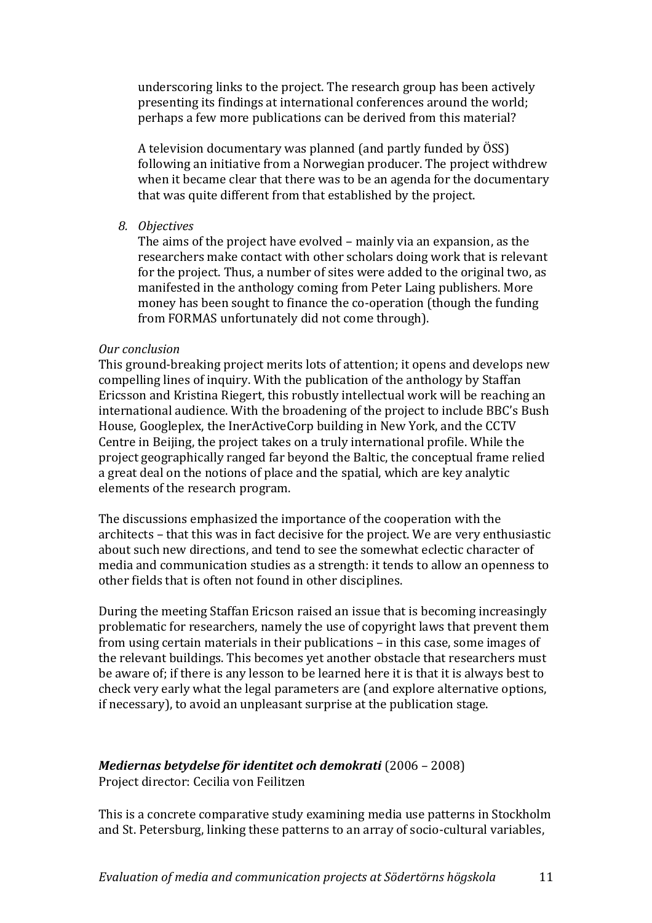underscoring links to the project. The research group has been actively presenting its findings at international conferences around the world; perhaps a few more publications can be derived from this material?

A television documentary was planned (and partly funded by ÖSS) following an initiative from a Norwegian producer. The project withdrew when it became clear that there was to be an agenda for the documentary that was quite different from that established by the project.

*8. Objectives*

The aims of the project have evolved – mainly via an expansion, as the researchers make contact with other scholars doing work that is relevant for the project. Thus, a number of sites were added to the original two, as manifested in the anthology coming from Peter Laing publishers. More money has been sought to finance the co-operation (though the funding from FORMAS unfortunately did not come through).

#### *Our conclusion*

This ground-breaking project merits lots of attention; it opens and develops new compelling lines of inquiry. With the publication of the anthology by Staffan Ericsson and Kristina Riegert, this robustly intellectual work will be reaching an international audience. With the broadening of the project to include BBC's Bush House, Googleplex, the InerActiveCorp building in New York, and the CCTV Centre in Beijing, the project takes on a truly international profile. While the project geographically ranged far beyond the Baltic, the conceptual frame relied a great deal on the notions of place and the spatial, which are key analytic elements of the research program.

The discussions emphasized the importance of the cooperation with the architects – that this was in fact decisive for the project. We are very enthusiastic about such new directions, and tend to see the somewhat eclectic character of media and communication studies as a strength: it tends to allow an openness to other fields that is often not found in other disciplines.

During the meeting Staffan Ericson raised an issue that is becoming increasingly problematic for researchers, namely the use of copyright laws that prevent them from using certain materials in their publications – in this case, some images of the relevant buildings. This becomes yet another obstacle that researchers must be aware of; if there is any lesson to be learned here it is that it is always best to check very early what the legal parameters are (and explore alternative options, if necessary), to avoid an unpleasant surprise at the publication stage.

### *Mediernas betydelse för identitet och demokrati* (2006 – 2008)

Project director: Cecilia von Feilitzen

This is a concrete comparative study examining media use patterns in Stockholm and St. Petersburg, linking these patterns to an array of socio-cultural variables,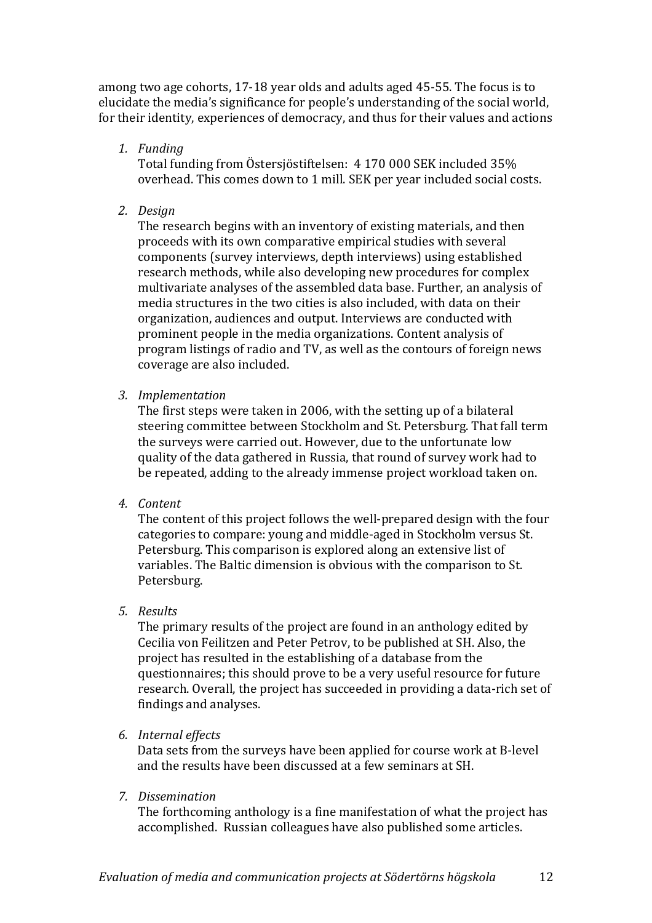among two age cohorts, 17-18 year olds and adults aged 45-55. The focus is to elucidate the media's significance for people's understanding of the social world, for their identity, experiences of democracy, and thus for their values and actions

*1. Funding*

Total funding from Östersjöstiftelsen: 4 170 000 SEK included 35% overhead. This comes down to 1 mill. SEK per year included social costs.

*2. Design*

The research begins with an inventory of existing materials, and then proceeds with its own comparative empirical studies with several components (survey interviews, depth interviews) using established research methods, while also developing new procedures for complex multivariate analyses of the assembled data base. Further, an analysis of media structures in the two cities is also included, with data on their organization, audiences and output. Interviews are conducted with prominent people in the media organizations. Content analysis of program listings of radio and TV, as well as the contours of foreign news coverage are also included.

*3. Implementation*

The first steps were taken in 2006, with the setting up of a bilateral steering committee between Stockholm and St. Petersburg. That fall term the surveys were carried out. However, due to the unfortunate low quality of the data gathered in Russia, that round of survey work had to be repeated, adding to the already immense project workload taken on.

*4. Content*

The content of this project follows the well-prepared design with the four categories to compare: young and middle-aged in Stockholm versus St. Petersburg. This comparison is explored along an extensive list of variables. The Baltic dimension is obvious with the comparison to St. Petersburg.

*5. Results*

The primary results of the project are found in an anthology edited by Cecilia von Feilitzen and Peter Petrov, to be published at SH. Also, the project has resulted in the establishing of a database from the questionnaires; this should prove to be a very useful resource for future research. Overall, the project has succeeded in providing a data-rich set of findings and analyses.

*6. Internal effects*

Data sets from the surveys have been applied for course work at B-level and the results have been discussed at a few seminars at SH.

*7. Dissemination*

The forthcoming anthology is a fine manifestation of what the project has accomplished. Russian colleagues have also published some articles.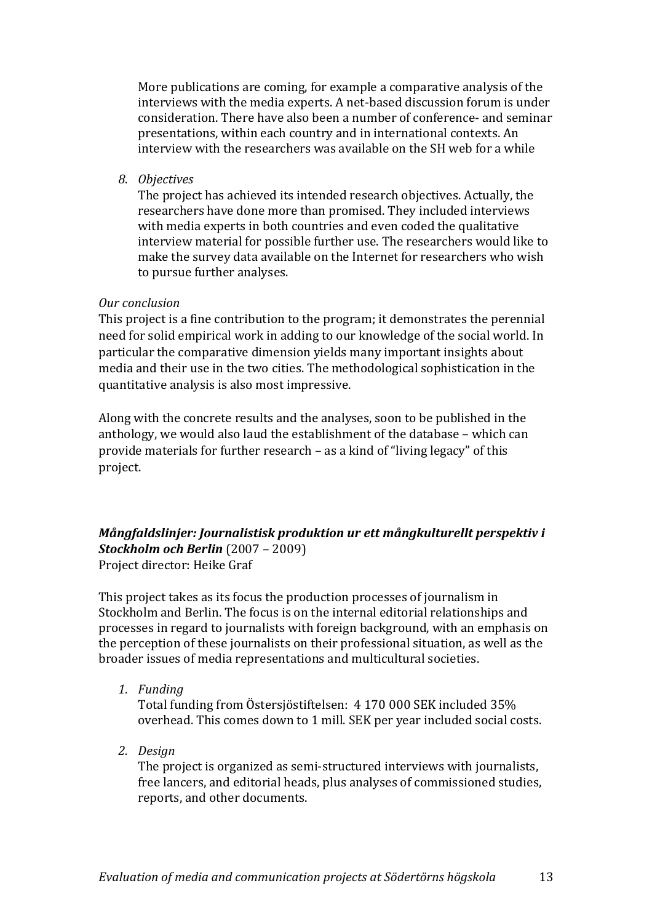More publications are coming, for example a comparative analysis of the interviews with the media experts. A net-based discussion forum is under consideration. There have also been a number of conference- and seminar presentations, within each country and in international contexts. An interview with the researchers was available on the SH web for a while

*8. Objectives*

The project has achieved its intended research objectives. Actually, the researchers have done more than promised. They included interviews with media experts in both countries and even coded the qualitative interview material for possible further use. The researchers would like to make the survey data available on the Internet for researchers who wish to pursue further analyses.

#### *Our conclusion*

This project is a fine contribution to the program; it demonstrates the perennial need for solid empirical work in adding to our knowledge of the social world. In particular the comparative dimension yields many important insights about media and their use in the two cities. The methodological sophistication in the quantitative analysis is also most impressive.

Along with the concrete results and the analyses, soon to be published in the anthology, we would also laud the establishment of the database – which can provide materials for further research – as a kind of "living legacy" of this project.

#### *Mångfaldslinjer: Journalistisk produktion ur ett mångkulturellt perspektiv i Stockholm och Berlin* (2007 – 2009) Project director: Heike Graf

This project takes as its focus the production processes of journalism in Stockholm and Berlin. The focus is on the internal editorial relationships and processes in regard to journalists with foreign background, with an emphasis on the perception of these journalists on their professional situation, as well as the broader issues of media representations and multicultural societies.

*1. Funding*

Total funding from Östersjöstiftelsen: 4 170 000 SEK included 35% overhead. This comes down to 1 mill. SEK per year included social costs.

*2. Design*

The project is organized as semi-structured interviews with journalists, free lancers, and editorial heads, plus analyses of commissioned studies, reports, and other documents.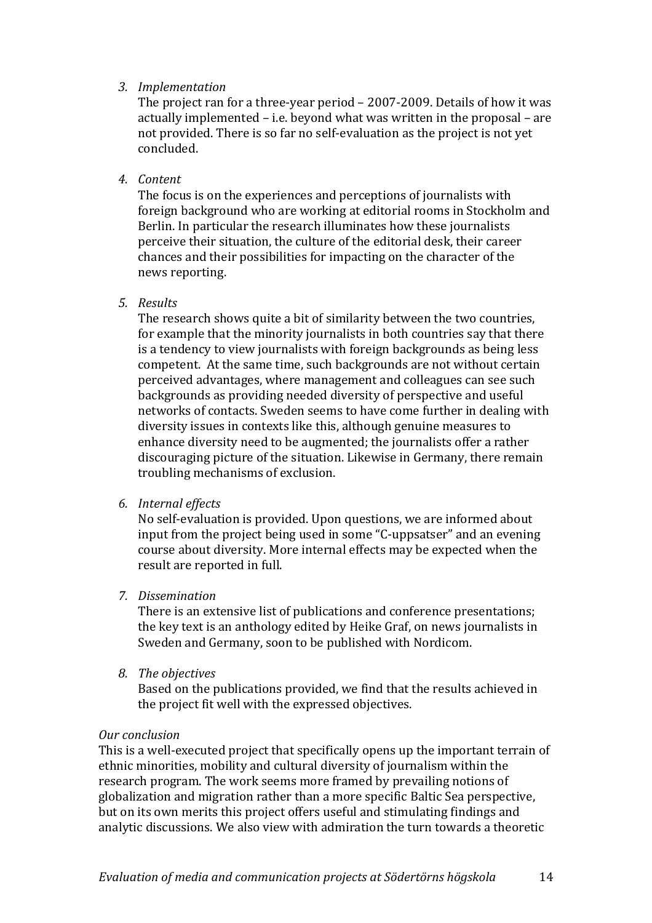### *3. Implementation*

The project ran for a three-year period – 2007-2009. Details of how it was actually implemented – i.e. beyond what was written in the proposal – are not provided. There is so far no self-evaluation as the project is not yet concluded.

#### *4. Content*

The focus is on the experiences and perceptions of journalists with foreign background who are working at editorial rooms in Stockholm and Berlin. In particular the research illuminates how these journalists perceive their situation, the culture of the editorial desk, their career chances and their possibilities for impacting on the character of the news reporting.

#### *5. Results*

The research shows quite a bit of similarity between the two countries, for example that the minority journalists in both countries say that there is a tendency to view journalists with foreign backgrounds as being less competent. At the same time, such backgrounds are not without certain perceived advantages, where management and colleagues can see such backgrounds as providing needed diversity of perspective and useful networks of contacts. Sweden seems to have come further in dealing with diversity issues in contexts like this, although genuine measures to enhance diversity need to be augmented; the journalists offer a rather discouraging picture of the situation. Likewise in Germany, there remain troubling mechanisms of exclusion.

#### *6. Internal effects*

No self-evaluation is provided. Upon questions, we are informed about input from the project being used in some "C-uppsatser" and an evening course about diversity. More internal effects may be expected when the result are reported in full.

### *7. Dissemination*

There is an extensive list of publications and conference presentations; the key text is an anthology edited by Heike Graf, on news journalists in Sweden and Germany, soon to be published with Nordicom.

*8. The objectives*

Based on the publications provided, we find that the results achieved in the project fit well with the expressed objectives.

#### *Our conclusion*

This is a well-executed project that specifically opens up the important terrain of ethnic minorities, mobility and cultural diversity of journalism within the research program. The work seems more framed by prevailing notions of globalization and migration rather than a more specific Baltic Sea perspective, but on its own merits this project offers useful and stimulating findings and analytic discussions. We also view with admiration the turn towards a theoretic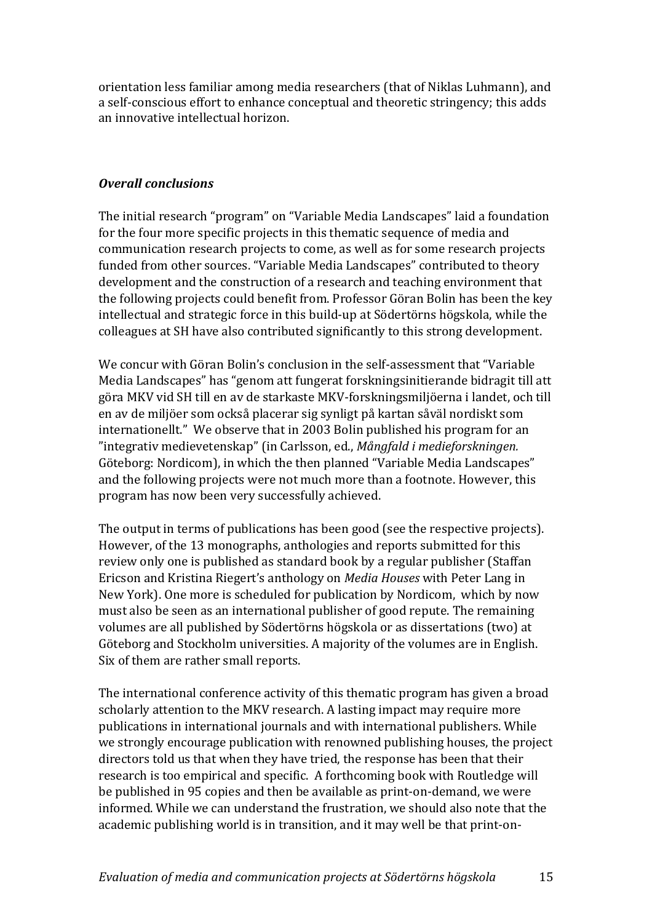orientation less familiar among media researchers (that of Niklas Luhmann), and a self-conscious effort to enhance conceptual and theoretic stringency; this adds an innovative intellectual horizon.

# *Overall conclusions*

The initial research "program" on "Variable Media Landscapes" laid a foundation for the four more specific projects in this thematic sequence of media and communication research projects to come, as well as for some research projects funded from other sources. "Variable Media Landscapes" contributed to theory development and the construction of a research and teaching environment that the following projects could benefit from. Professor Göran Bolin has been the key intellectual and strategic force in this build-up at Södertörns högskola, while the colleagues at SH have also contributed significantly to this strong development.

We concur with Göran Bolin's conclusion in the self-assessment that "Variable Media Landscapes" has "genom att fungerat forskningsinitierande bidragit till att göra MKV vid SH till en av de starkaste MKV-forskningsmiljöerna i landet, och till en av de miljöer som också placerar sig synligt på kartan såväl nordiskt som internationellt." We observe that in 2003 Bolin published his program for an "integrativ medievetenskap" (in Carlsson, ed., *Mångfald i medieforskningen.*  Göteborg: Nordicom), in which the then planned "Variable Media Landscapes" and the following projects were not much more than a footnote. However, this program has now been very successfully achieved.

The output in terms of publications has been good (see the respective projects). However, of the 13 monographs, anthologies and reports submitted for this review only one is published as standard book by a regular publisher (Staffan Ericson and Kristina Riegert's anthology on *Media Houses* with Peter Lang in New York). One more is scheduled for publication by Nordicom, which by now must also be seen as an international publisher of good repute. The remaining volumes are all published by Södertörns högskola or as dissertations (two) at Göteborg and Stockholm universities. A majority of the volumes are in English. Six of them are rather small reports.

The international conference activity of this thematic program has given a broad scholarly attention to the MKV research. A lasting impact may require more publications in international journals and with international publishers. While we strongly encourage publication with renowned publishing houses, the project directors told us that when they have tried, the response has been that their research is too empirical and specific. A forthcoming book with Routledge will be published in 95 copies and then be available as print-on-demand, we were informed. While we can understand the frustration, we should also note that the academic publishing world is in transition, and it may well be that print-on-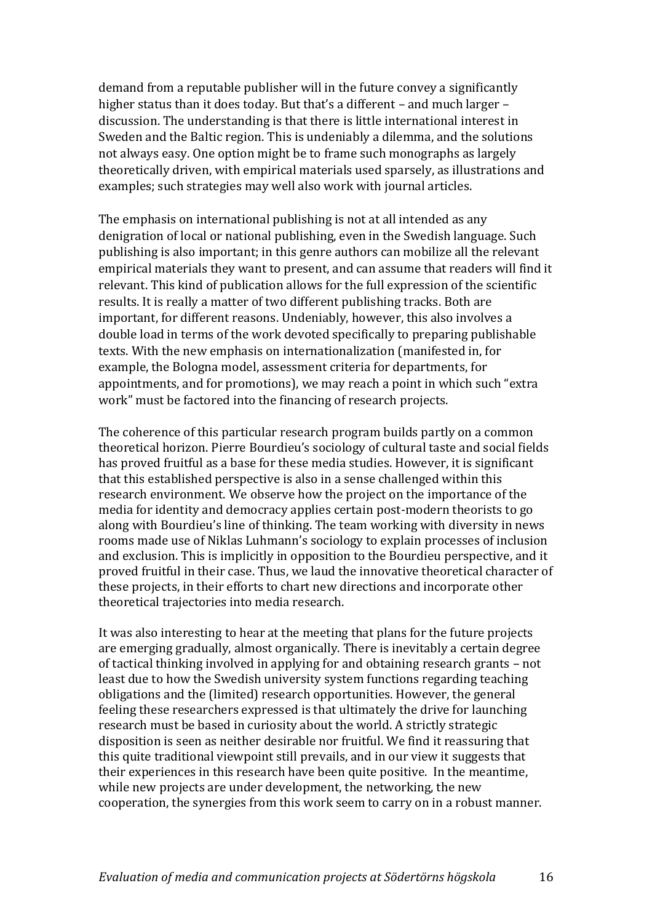demand from a reputable publisher will in the future convey a significantly higher status than it does today. But that's a different – and much larger – discussion. The understanding is that there is little international interest in Sweden and the Baltic region. This is undeniably a dilemma, and the solutions not always easy. One option might be to frame such monographs as largely theoretically driven, with empirical materials used sparsely, as illustrations and examples; such strategies may well also work with journal articles.

The emphasis on international publishing is not at all intended as any denigration of local or national publishing, even in the Swedish language. Such publishing is also important; in this genre authors can mobilize all the relevant empirical materials they want to present, and can assume that readers will find it relevant. This kind of publication allows for the full expression of the scientific results. It is really a matter of two different publishing tracks. Both are important, for different reasons. Undeniably, however, this also involves a double load in terms of the work devoted specifically to preparing publishable texts. With the new emphasis on internationalization (manifested in, for example, the Bologna model, assessment criteria for departments, for appointments, and for promotions), we may reach a point in which such "extra work" must be factored into the financing of research projects.

The coherence of this particular research program builds partly on a common theoretical horizon. Pierre Bourdieu's sociology of cultural taste and social fields has proved fruitful as a base for these media studies. However, it is significant that this established perspective is also in a sense challenged within this research environment. We observe how the project on the importance of the media for identity and democracy applies certain post-modern theorists to go along with Bourdieu's line of thinking. The team working with diversity in news rooms made use of Niklas Luhmann's sociology to explain processes of inclusion and exclusion. This is implicitly in opposition to the Bourdieu perspective, and it proved fruitful in their case. Thus, we laud the innovative theoretical character of these projects, in their efforts to chart new directions and incorporate other theoretical trajectories into media research.

It was also interesting to hear at the meeting that plans for the future projects are emerging gradually, almost organically. There is inevitably a certain degree of tactical thinking involved in applying for and obtaining research grants – not least due to how the Swedish university system functions regarding teaching obligations and the (limited) research opportunities. However, the general feeling these researchers expressed is that ultimately the drive for launching research must be based in curiosity about the world. A strictly strategic disposition is seen as neither desirable nor fruitful. We find it reassuring that this quite traditional viewpoint still prevails, and in our view it suggests that their experiences in this research have been quite positive. In the meantime, while new projects are under development, the networking, the new cooperation, the synergies from this work seem to carry on in a robust manner.